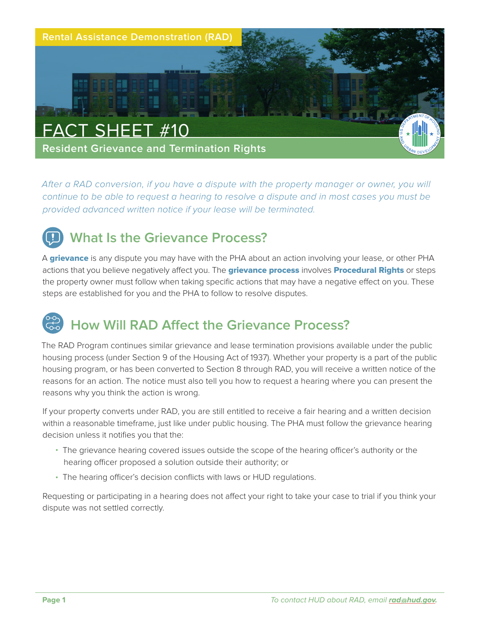

*After a RAD conversion, if you have a dispute with the property manager or owner, you will continue to be able to request a hearing to resolve a dispute and in most cases you must be provided advanced written notice if your lease will be terminated.*



A grievance is any dispute you may have with the PHA about an action involving your lease, or other PHA actions that you believe negatively affect you. The **grievance process** involves **Procedural Rights** or steps the property owner must follow when taking specific actions that may have a negative effect on you. These steps are established for you and the PHA to follow to resolve disputes.

## **How Will RAD Affect the Grievance Process?**

The RAD Program continues similar grievance and lease termination provisions available under the public housing process (under Section 9 of the Housing Act of 1937). Whether your property is a part of the public housing program, or has been converted to Section 8 through RAD, you will receive a written notice of the reasons for an action. The notice must also tell you how to request a hearing where you can present the reasons why you think the action is wrong.

If your property converts under RAD, you are still entitled to receive a fair hearing and a written decision within a reasonable timeframe, just like under public housing. The PHA must follow the grievance hearing decision unless it notifies you that the:

- The grievance hearing covered issues outside the scope of the hearing officer's authority or the hearing officer proposed a solution outside their authority; or
- The hearing officer's decision conflicts with laws or HUD regulations.

Requesting or participating in a hearing does not affect your right to take your case to trial if you think your dispute was not settled correctly.